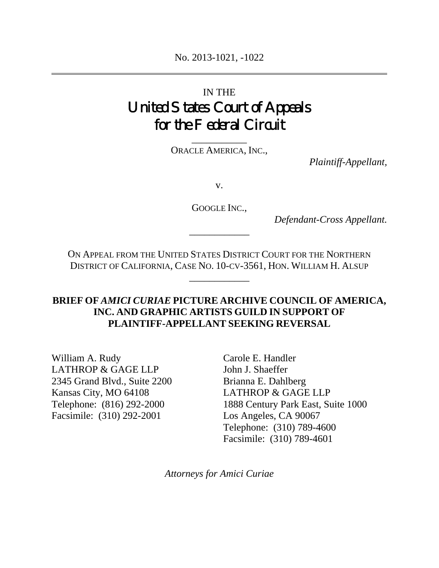# IN THE United States Court of Appeals for the Federal Circuit

\_\_\_\_\_\_\_\_\_\_\_ ORACLE AMERICA, INC.,

*Plaintiff-Appellant,*

v.

GOOGLE INC.,

\_\_\_\_\_\_\_\_\_\_\_\_

*Defendant-Cross Appellant.* 

ON APPEAL FROM THE UNITED STATES DISTRICT COURT FOR THE NORTHERN DISTRICT OF CALIFORNIA, CASE NO. 10-CV-3561, HON. WILLIAM H. ALSUP

\_\_\_\_\_\_\_\_\_\_\_\_

## **BRIEF OF** *AMICI CURIAE* **PICTURE ARCHIVE COUNCIL OF AMERICA, INC. AND GRAPHIC ARTISTS GUILD IN SUPPORT OF PLAINTIFF-APPELLANT SEEKING REVERSAL**

William A. Rudy LATHROP & GAGE LLP 2345 Grand Blvd., Suite 2200 Kansas City, MO 64108 Telephone: (816) 292-2000 Facsimile: (310) 292-2001

Carole E. Handler John J. Shaeffer Brianna E. Dahlberg LATHROP & GAGE LLP 1888 Century Park East, Suite 1000 Los Angeles, CA 90067 Telephone: (310) 789-4600 Facsimile: (310) 789-4601

*Attorneys for Amici Curiae*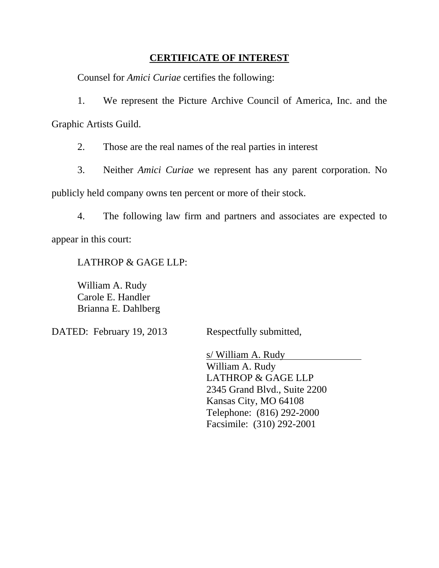### **CERTIFICATE OF INTEREST**

Counsel for *Amici Curiae* certifies the following:

1. We represent the Picture Archive Council of America, Inc. and the Graphic Artists Guild.

2. Those are the real names of the real parties in interest

3. Neither *Amici Curiae* we represent has any parent corporation. No

publicly held company owns ten percent or more of their stock.

4. The following law firm and partners and associates are expected to appear in this court:

LATHROP & GAGE LLP:

William A. Rudy Carole E. Handler Brianna E. Dahlberg

DATED: February 19, 2013 Respectfully submitted,

s/ William A. Rudy William A. Rudy LATHROP & GAGE LLP 2345 Grand Blvd., Suite 2200 Kansas City, MO 64108 Telephone: (816) 292-2000 Facsimile: (310) 292-2001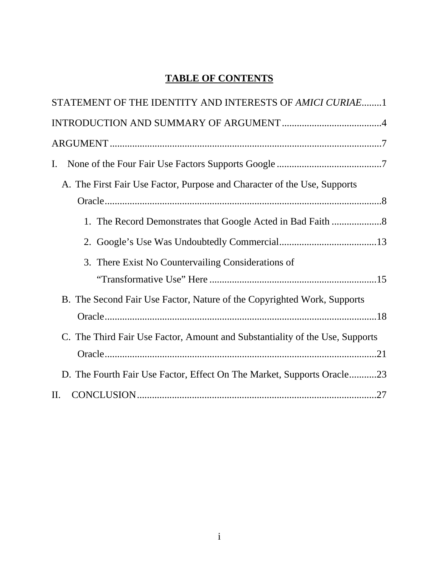## **TABLE OF CONTENTS**

| STATEMENT OF THE IDENTITY AND INTERESTS OF AMICI CURIAE1                     |
|------------------------------------------------------------------------------|
|                                                                              |
|                                                                              |
| $\mathbf{I}$ .                                                               |
| A. The First Fair Use Factor, Purpose and Character of the Use, Supports     |
|                                                                              |
|                                                                              |
|                                                                              |
| 3. There Exist No Countervailing Considerations of                           |
|                                                                              |
| B. The Second Fair Use Factor, Nature of the Copyrighted Work, Supports      |
|                                                                              |
| C. The Third Fair Use Factor, Amount and Substantiality of the Use, Supports |
|                                                                              |
| D. The Fourth Fair Use Factor, Effect On The Market, Supports Oracle23       |
| II.                                                                          |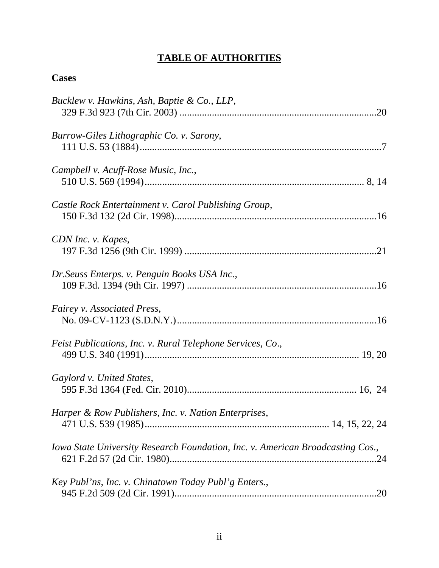## **TABLE OF AUTHORITIES**

## **Cases**

| Bucklew v. Hawkins, Ash, Baptie & Co., LLP,                                    |
|--------------------------------------------------------------------------------|
| Burrow-Giles Lithographic Co. v. Sarony,                                       |
| Campbell v. Acuff-Rose Music, Inc.,                                            |
| Castle Rock Entertainment v. Carol Publishing Group,                           |
| CDN Inc. v. Kapes,                                                             |
| Dr. Seuss Enterps. v. Penguin Books USA Inc.,                                  |
| Fairey v. Associated Press,                                                    |
| Feist Publications, Inc. v. Rural Telephone Services, Co.,                     |
| Gaylord v. United States,                                                      |
| Harper & Row Publishers, Inc. v. Nation Enterprises,                           |
| Iowa State University Research Foundation, Inc. v. American Broadcasting Cos., |
| Key Publ'ns, Inc. v. Chinatown Today Publ'g Enters.,                           |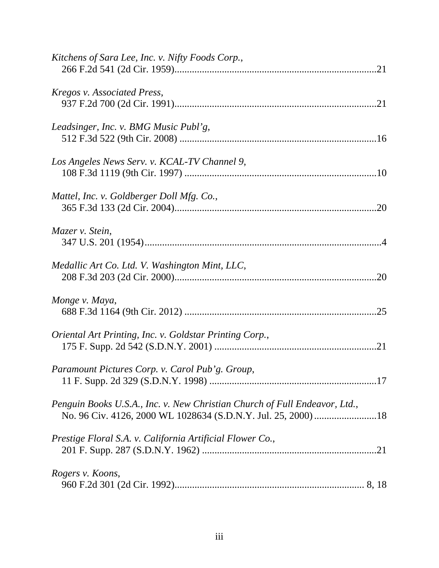| Kitchens of Sara Lee, Inc. v. Nifty Foods Corp.,                           |
|----------------------------------------------------------------------------|
| Kregos v. Associated Press,                                                |
| Leadsinger, Inc. v. BMG Music Publ'g,                                      |
| Los Angeles News Serv. v. KCAL-TV Channel 9,                               |
| Mattel, Inc. v. Goldberger Doll Mfg. Co.,                                  |
| Mazer v. Stein,                                                            |
| Medallic Art Co. Ltd. V. Washington Mint, LLC,                             |
| Monge v. Maya,                                                             |
| Oriental Art Printing, Inc. v. Goldstar Printing Corp.,                    |
| Paramount Pictures Corp. v. Carol Pub'g. Group,                            |
| Penguin Books U.S.A., Inc. v. New Christian Church of Full Endeavor, Ltd., |
| Prestige Floral S.A. v. California Artificial Flower Co.,                  |
| Rogers v. Koons,                                                           |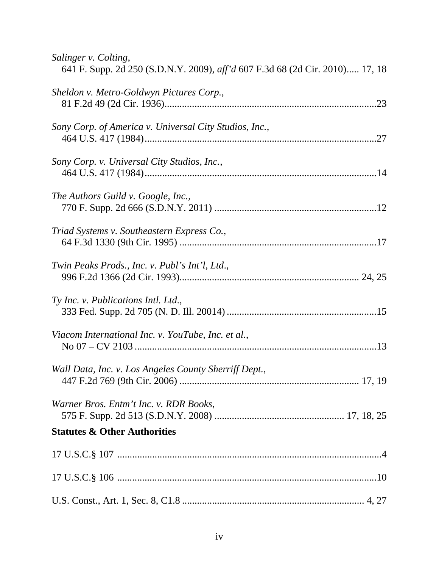| Salinger v. Colting,<br>641 F. Supp. 2d 250 (S.D.N.Y. 2009), aff'd 607 F.3d 68 (2d Cir. 2010) 17, 18 |
|------------------------------------------------------------------------------------------------------|
| Sheldon v. Metro-Goldwyn Pictures Corp.,<br>.23                                                      |
| Sony Corp. of America v. Universal City Studios, Inc.,                                               |
| Sony Corp. v. Universal City Studios, Inc.,                                                          |
| The Authors Guild v. Google, Inc.,                                                                   |
| Triad Systems v. Southeastern Express Co.,                                                           |
| Twin Peaks Prods., Inc. v. Publ's Int'l, Ltd.,                                                       |
| Ty Inc. v. Publications Intl. Ltd.,                                                                  |
| Viacom International Inc. v. YouTube, Inc. et al.,                                                   |
| Wall Data, Inc. v. Los Angeles County Sherriff Dept.,                                                |
| Warner Bros. Entm't Inc. v. RDR Books,                                                               |
| <b>Statutes &amp; Other Authorities</b>                                                              |
|                                                                                                      |
|                                                                                                      |
|                                                                                                      |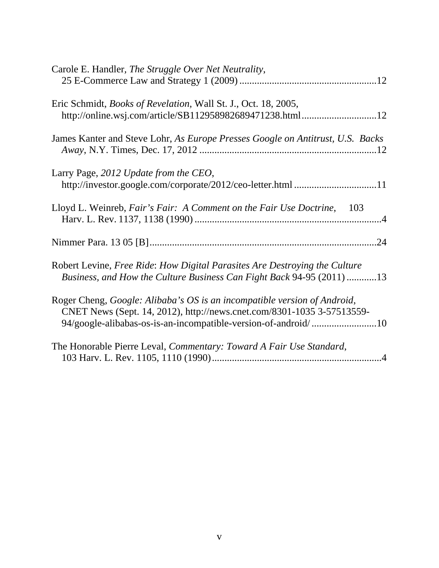| Carole E. Handler, The Struggle Over Net Neutrality,                                                                                                |
|-----------------------------------------------------------------------------------------------------------------------------------------------------|
| Eric Schmidt, <i>Books of Revelation</i> , Wall St. J., Oct. 18, 2005,<br>http://online.wsj.com/article/SB112958982689471238.html12                 |
| James Kanter and Steve Lohr, As Europe Presses Google on Antitrust, U.S. Backs                                                                      |
| Larry Page, 2012 Update from the CEO,                                                                                                               |
| Lloyd L. Weinreb, Fair's Fair: A Comment on the Fair Use Doctrine, 103                                                                              |
|                                                                                                                                                     |
| Robert Levine, Free Ride: How Digital Parasites Are Destroying the Culture<br>Business, and How the Culture Business Can Fight Back 94-95 (2011) 13 |
| Roger Cheng, Google: Alibaba's OS is an incompatible version of Android,<br>CNET News (Sept. 14, 2012), http://news.cnet.com/8301-1035 3-57513559-  |
| The Honorable Pierre Leval, Commentary: Toward A Fair Use Standard,                                                                                 |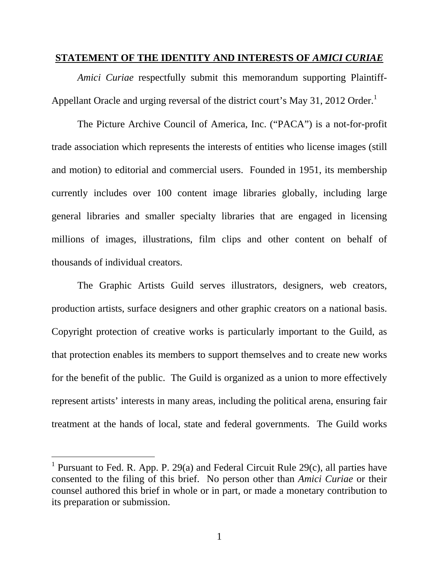#### **STATEMENT OF THE IDENTITY AND INTERESTS OF** *AMICI CURIAE*

*Amici Curiae* respectfully submit this memorandum supporting Plaintiff-Appellant Oracle and urging reversal of the district court's May 31, 2012 Order.<sup>1</sup>

The Picture Archive Council of America, Inc. ("PACA") is a not-for-profit trade association which represents the interests of entities who license images (still and motion) to editorial and commercial users. Founded in 1951, its membership currently includes over 100 content image libraries globally, including large general libraries and smaller specialty libraries that are engaged in licensing millions of images, illustrations, film clips and other content on behalf of thousands of individual creators.

The Graphic Artists Guild serves illustrators, designers, web creators, production artists, surface designers and other graphic creators on a national basis. Copyright protection of creative works is particularly important to the Guild, as that protection enables its members to support themselves and to create new works for the benefit of the public. The Guild is organized as a union to more effectively represent artists' interests in many areas, including the political arena, ensuring fair treatment at the hands of local, state and federal governments. The Guild works

-

<sup>&</sup>lt;sup>1</sup> Pursuant to Fed. R. App. P. 29(a) and Federal Circuit Rule 29(c), all parties have consented to the filing of this brief. No person other than *Amici Curiae* or their counsel authored this brief in whole or in part, or made a monetary contribution to its preparation or submission.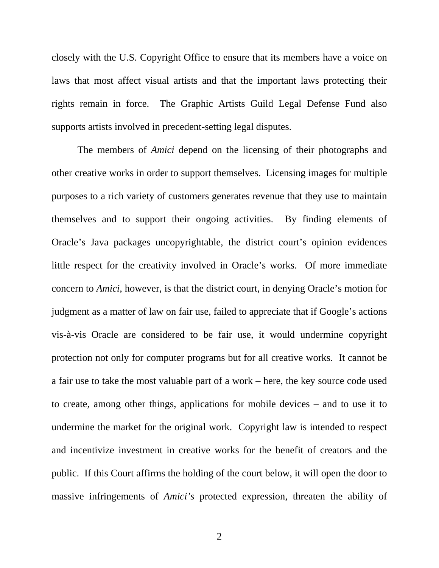closely with the U.S. Copyright Office to ensure that its members have a voice on laws that most affect visual artists and that the important laws protecting their rights remain in force. The Graphic Artists Guild Legal Defense Fund also supports artists involved in precedent-setting legal disputes.

The members of *Amici* depend on the licensing of their photographs and other creative works in order to support themselves. Licensing images for multiple purposes to a rich variety of customers generates revenue that they use to maintain themselves and to support their ongoing activities. By finding elements of Oracle's Java packages uncopyrightable, the district court's opinion evidences little respect for the creativity involved in Oracle's works. Of more immediate concern to *Amici*, however, is that the district court, in denying Oracle's motion for judgment as a matter of law on fair use, failed to appreciate that if Google's actions vis-à-vis Oracle are considered to be fair use, it would undermine copyright protection not only for computer programs but for all creative works. It cannot be a fair use to take the most valuable part of a work – here, the key source code used to create, among other things, applications for mobile devices – and to use it to undermine the market for the original work. Copyright law is intended to respect and incentivize investment in creative works for the benefit of creators and the public. If this Court affirms the holding of the court below, it will open the door to massive infringements of *Amici's* protected expression, threaten the ability of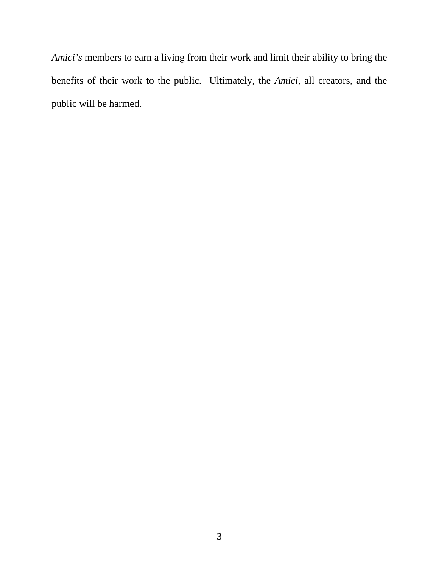*Amici's* members to earn a living from their work and limit their ability to bring the benefits of their work to the public. Ultimately, the *Amici*, all creators, and the public will be harmed.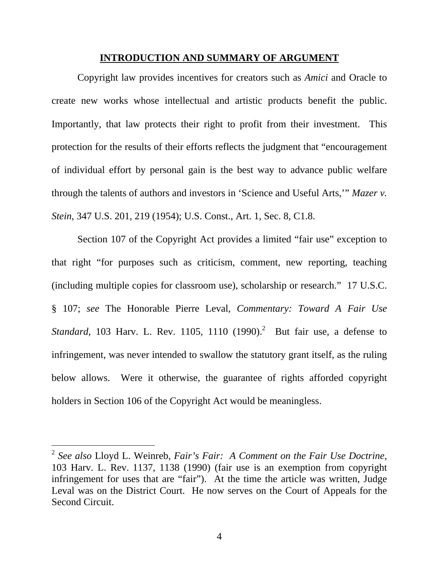#### **INTRODUCTION AND SUMMARY OF ARGUMENT**

Copyright law provides incentives for creators such as *Amici* and Oracle to create new works whose intellectual and artistic products benefit the public. Importantly, that law protects their right to profit from their investment. This protection for the results of their efforts reflects the judgment that "encouragement of individual effort by personal gain is the best way to advance public welfare through the talents of authors and investors in 'Science and Useful Arts,'" *Mazer v. Stein*, 347 U.S. 201, 219 (1954); U.S. Const., Art. 1, Sec. 8, C1.8.

Section 107 of the Copyright Act provides a limited "fair use" exception to that right "for purposes such as criticism, comment, new reporting, teaching (including multiple copies for classroom use), scholarship or research." 17 U.S.C. § 107; *see* The Honorable Pierre Leval, *Commentary: Toward A Fair Use Standard*, 103 Harv. L. Rev. 1105, 1110 (1990).<sup>2</sup> But fair use, a defense to infringement, was never intended to swallow the statutory grant itself, as the ruling below allows. Were it otherwise, the guarantee of rights afforded copyright holders in Section 106 of the Copyright Act would be meaningless.

 $\overline{a}$ 

<sup>2</sup> *See also* Lloyd L. Weinreb, *Fair's Fair: A Comment on the Fair Use Doctrine*, 103 Harv. L. Rev. 1137, 1138 (1990) (fair use is an exemption from copyright infringement for uses that are "fair"). At the time the article was written, Judge Leval was on the District Court. He now serves on the Court of Appeals for the Second Circuit.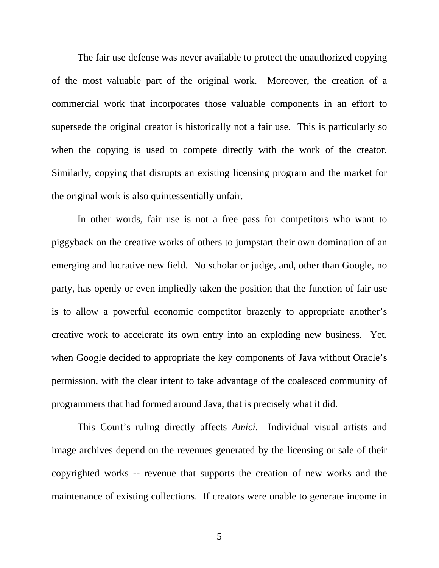The fair use defense was never available to protect the unauthorized copying of the most valuable part of the original work. Moreover, the creation of a commercial work that incorporates those valuable components in an effort to supersede the original creator is historically not a fair use. This is particularly so when the copying is used to compete directly with the work of the creator. Similarly, copying that disrupts an existing licensing program and the market for the original work is also quintessentially unfair.

In other words, fair use is not a free pass for competitors who want to piggyback on the creative works of others to jumpstart their own domination of an emerging and lucrative new field. No scholar or judge, and, other than Google, no party, has openly or even impliedly taken the position that the function of fair use is to allow a powerful economic competitor brazenly to appropriate another's creative work to accelerate its own entry into an exploding new business. Yet, when Google decided to appropriate the key components of Java without Oracle's permission, with the clear intent to take advantage of the coalesced community of programmers that had formed around Java, that is precisely what it did.

This Court's ruling directly affects *Amici*. Individual visual artists and image archives depend on the revenues generated by the licensing or sale of their copyrighted works -- revenue that supports the creation of new works and the maintenance of existing collections. If creators were unable to generate income in

5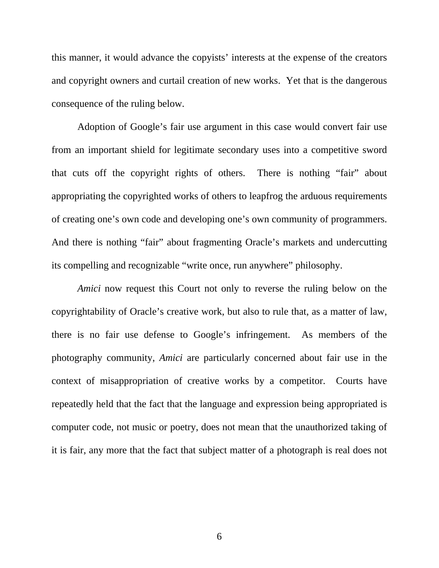this manner, it would advance the copyists' interests at the expense of the creators and copyright owners and curtail creation of new works. Yet that is the dangerous consequence of the ruling below.

Adoption of Google's fair use argument in this case would convert fair use from an important shield for legitimate secondary uses into a competitive sword that cuts off the copyright rights of others. There is nothing "fair" about appropriating the copyrighted works of others to leapfrog the arduous requirements of creating one's own code and developing one's own community of programmers. And there is nothing "fair" about fragmenting Oracle's markets and undercutting its compelling and recognizable "write once, run anywhere" philosophy.

*Amici* now request this Court not only to reverse the ruling below on the copyrightability of Oracle's creative work, but also to rule that, as a matter of law, there is no fair use defense to Google's infringement. As members of the photography community, *Amici* are particularly concerned about fair use in the context of misappropriation of creative works by a competitor. Courts have repeatedly held that the fact that the language and expression being appropriated is computer code, not music or poetry, does not mean that the unauthorized taking of it is fair, any more that the fact that subject matter of a photograph is real does not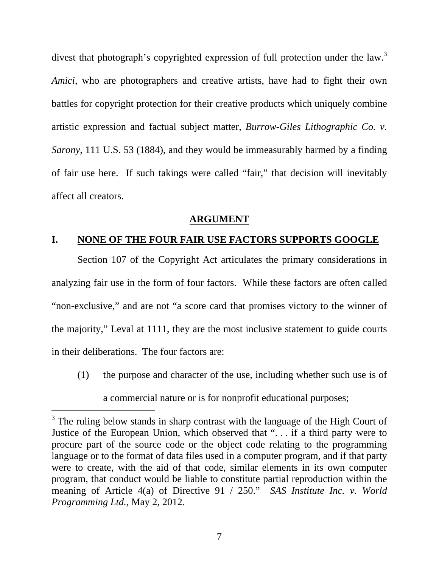divest that photograph's copyrighted expression of full protection under the law.<sup>3</sup> *Amici*, who are photographers and creative artists, have had to fight their own battles for copyright protection for their creative products which uniquely combine artistic expression and factual subject matter, *Burrow-Giles Lithographic Co. v. Sarony*, 111 U.S. 53 (1884), and they would be immeasurably harmed by a finding of fair use here. If such takings were called "fair," that decision will inevitably affect all creators.

#### **ARGUMENT**

#### **I. NONE OF THE FOUR FAIR USE FACTORS SUPPORTS GOOGLE**

Section 107 of the Copyright Act articulates the primary considerations in analyzing fair use in the form of four factors. While these factors are often called "non-exclusive," and are not "a score card that promises victory to the winner of the majority," Leval at 1111, they are the most inclusive statement to guide courts in their deliberations. The four factors are:

(1) the purpose and character of the use, including whether such use is of a commercial nature or is for nonprofit educational purposes;

l

<sup>&</sup>lt;sup>3</sup> The ruling below stands in sharp contrast with the language of the High Court of Justice of the European Union, which observed that ". . . if a third party were to procure part of the source code or the object code relating to the programming language or to the format of data files used in a computer program, and if that party were to create, with the aid of that code, similar elements in its own computer program, that conduct would be liable to constitute partial reproduction within the meaning of Article 4(a) of Directive 91 / 250." *SAS Institute Inc. v. World Programming Ltd.*, May 2, 2012.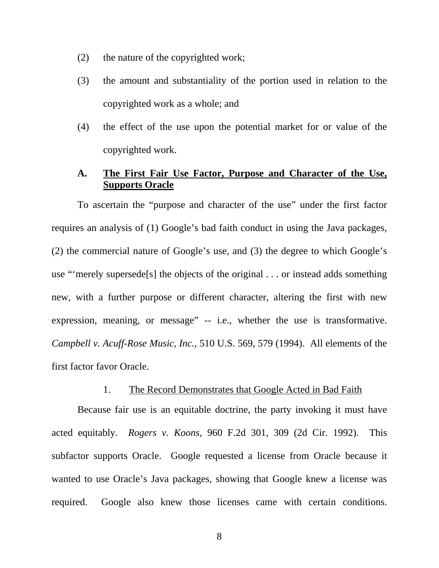- (2) the nature of the copyrighted work;
- (3) the amount and substantiality of the portion used in relation to the copyrighted work as a whole; and
- (4) the effect of the use upon the potential market for or value of the copyrighted work.

## **A. The First Fair Use Factor, Purpose and Character of the Use, Supports Oracle**

To ascertain the "purpose and character of the use" under the first factor requires an analysis of (1) Google's bad faith conduct in using the Java packages, (2) the commercial nature of Google's use, and (3) the degree to which Google's use "'merely supersede[s] the objects of the original . . . or instead adds something new, with a further purpose or different character, altering the first with new expression, meaning, or message" -- i.e., whether the use is transformative. *Campbell v. Acuff-Rose Music, Inc.*, 510 U.S. 569, 579 (1994). All elements of the first factor favor Oracle.

#### 1. The Record Demonstrates that Google Acted in Bad Faith

Because fair use is an equitable doctrine, the party invoking it must have acted equitably. *Rogers v. Koons*, 960 F.2d 301, 309 (2d Cir. 1992). This subfactor supports Oracle. Google requested a license from Oracle because it wanted to use Oracle's Java packages, showing that Google knew a license was required. Google also knew those licenses came with certain conditions.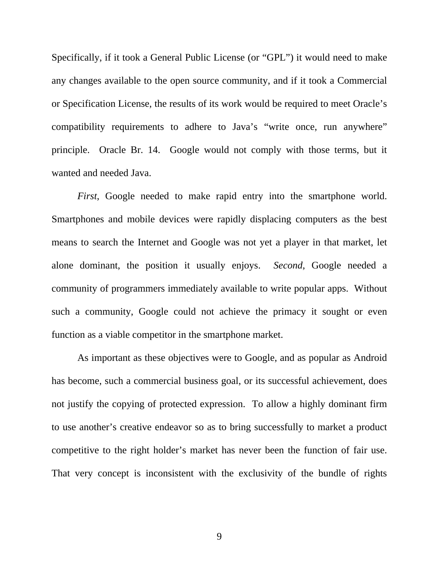Specifically, if it took a General Public License (or "GPL") it would need to make any changes available to the open source community, and if it took a Commercial or Specification License, the results of its work would be required to meet Oracle's compatibility requirements to adhere to Java's "write once, run anywhere" principle. Oracle Br. 14. Google would not comply with those terms, but it wanted and needed Java.

*First*, Google needed to make rapid entry into the smartphone world. Smartphones and mobile devices were rapidly displacing computers as the best means to search the Internet and Google was not yet a player in that market, let alone dominant, the position it usually enjoys. *Second*, Google needed a community of programmers immediately available to write popular apps. Without such a community, Google could not achieve the primacy it sought or even function as a viable competitor in the smartphone market.

As important as these objectives were to Google, and as popular as Android has become, such a commercial business goal, or its successful achievement, does not justify the copying of protected expression. To allow a highly dominant firm to use another's creative endeavor so as to bring successfully to market a product competitive to the right holder's market has never been the function of fair use. That very concept is inconsistent with the exclusivity of the bundle of rights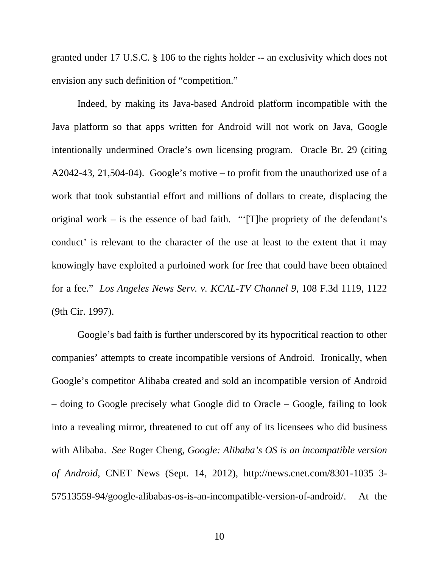granted under 17 U.S.C. § 106 to the rights holder -- an exclusivity which does not envision any such definition of "competition."

Indeed, by making its Java-based Android platform incompatible with the Java platform so that apps written for Android will not work on Java, Google intentionally undermined Oracle's own licensing program. Oracle Br. 29 (citing A2042-43, 21,504-04). Google's motive – to profit from the unauthorized use of a work that took substantial effort and millions of dollars to create, displacing the original work – is the essence of bad faith. "'[T]he propriety of the defendant's conduct' is relevant to the character of the use at least to the extent that it may knowingly have exploited a purloined work for free that could have been obtained for a fee." *Los Angeles News Serv. v. KCAL-TV Channel 9*, 108 F.3d 1119, 1122 (9th Cir. 1997).

Google's bad faith is further underscored by its hypocritical reaction to other companies' attempts to create incompatible versions of Android. Ironically, when Google's competitor Alibaba created and sold an incompatible version of Android – doing to Google precisely what Google did to Oracle – Google, failing to look into a revealing mirror, threatened to cut off any of its licensees who did business with Alibaba. *See* Roger Cheng, *Google: Alibaba's OS is an incompatible version of Android*, CNET News (Sept. 14, 2012), http://news.cnet.com/8301-1035 3- 57513559-94/google-alibabas-os-is-an-incompatible-version-of-android/. At the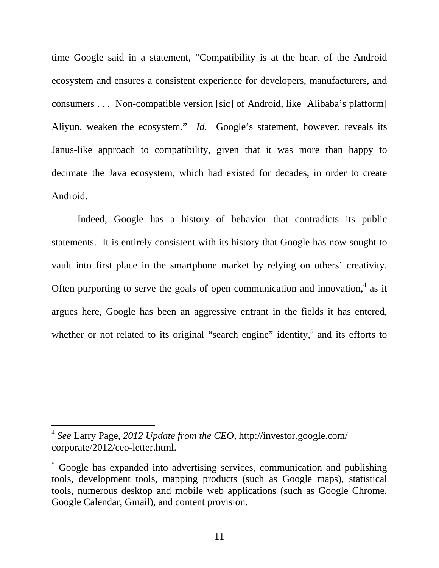time Google said in a statement, "Compatibility is at the heart of the Android ecosystem and ensures a consistent experience for developers, manufacturers, and consumers . . . Non-compatible version [sic] of Android, like [Alibaba's platform] Aliyun, weaken the ecosystem." *Id.* Google's statement, however, reveals its Janus-like approach to compatibility, given that it was more than happy to decimate the Java ecosystem, which had existed for decades, in order to create Android.

Indeed, Google has a history of behavior that contradicts its public statements. It is entirely consistent with its history that Google has now sought to vault into first place in the smartphone market by relying on others' creativity. Often purporting to serve the goals of open communication and innovation, $4$  as it argues here, Google has been an aggressive entrant in the fields it has entered, whether or not related to its original "search engine" identity,  $5$  and its efforts to

l

<sup>4</sup> *See* Larry Page, *2012 Update from the CEO*, http://investor.google.com/ corporate/2012/ceo-letter.html.

 $5$  Google has expanded into advertising services, communication and publishing tools, development tools, mapping products (such as Google maps), statistical tools, numerous desktop and mobile web applications (such as Google Chrome, Google Calendar, Gmail), and content provision.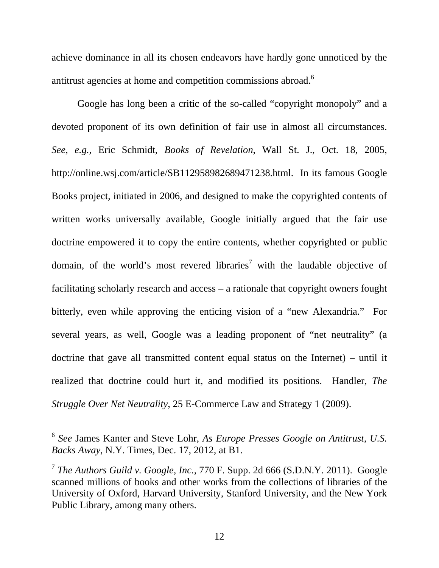achieve dominance in all its chosen endeavors have hardly gone unnoticed by the antitrust agencies at home and competition commissions abroad.<sup>6</sup>

Google has long been a critic of the so-called "copyright monopoly" and a devoted proponent of its own definition of fair use in almost all circumstances. *See, e.g.,* Eric Schmidt, *Books of Revelation*, Wall St. J., Oct. 18, 2005, http://online.wsj.com/article/SB112958982689471238.html. In its famous Google Books project, initiated in 2006, and designed to make the copyrighted contents of written works universally available, Google initially argued that the fair use doctrine empowered it to copy the entire contents, whether copyrighted or public domain, of the world's most revered libraries<sup>7</sup> with the laudable objective of facilitating scholarly research and access – a rationale that copyright owners fought bitterly, even while approving the enticing vision of a "new Alexandria." For several years, as well, Google was a leading proponent of "net neutrality" (a doctrine that gave all transmitted content equal status on the Internet) – until it realized that doctrine could hurt it, and modified its positions. Handler, *The Struggle Over Net Neutrality*, 25 E-Commerce Law and Strategy 1 (2009).

-

<sup>6</sup> *See* James Kanter and Steve Lohr, *As Europe Presses Google on Antitrust, U.S. Backs Away*, N.Y. Times, Dec. 17, 2012, at B1.

<sup>7</sup> *The Authors Guild v. Google, Inc.*, 770 F. Supp. 2d 666 (S.D.N.Y. 2011). Google scanned millions of books and other works from the collections of libraries of the University of Oxford, Harvard University, Stanford University, and the New York Public Library, among many others.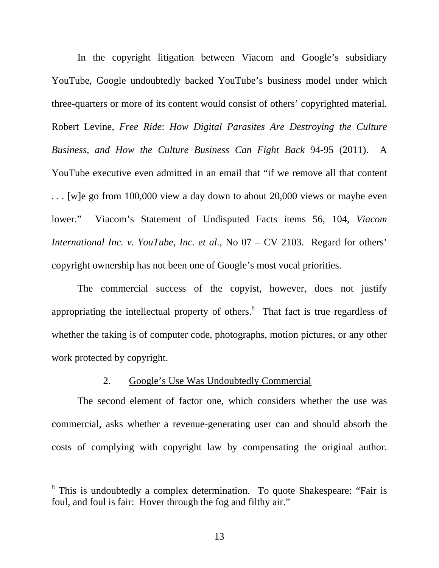In the copyright litigation between Viacom and Google's subsidiary YouTube, Google undoubtedly backed YouTube's business model under which three-quarters or more of its content would consist of others' copyrighted material. Robert Levine, *Free Ride*: *How Digital Parasites Are Destroying the Culture Business, and How the Culture Business Can Fight Back* 94-95 (2011). A YouTube executive even admitted in an email that "if we remove all that content . . . [w]e go from 100,000 view a day down to about 20,000 views or maybe even lower." Viacom's Statement of Undisputed Facts items 56, 104, *Viacom International Inc. v. YouTube, Inc. et al.*, No 07 – CV 2103. Regard for others' copyright ownership has not been one of Google's most vocal priorities.

The commercial success of the copyist, however, does not justify appropriating the intellectual property of others. $\delta$  That fact is true regardless of whether the taking is of computer code, photographs, motion pictures, or any other work protected by copyright.

#### 2. Google's Use Was Undoubtedly Commercial

The second element of factor one, which considers whether the use was commercial, asks whether a revenue-generating user can and should absorb the costs of complying with copyright law by compensating the original author.

 $\overline{a}$ 

<sup>&</sup>lt;sup>8</sup> This is undoubtedly a complex determination. To quote Shakespeare: "Fair is foul, and foul is fair: Hover through the fog and filthy air."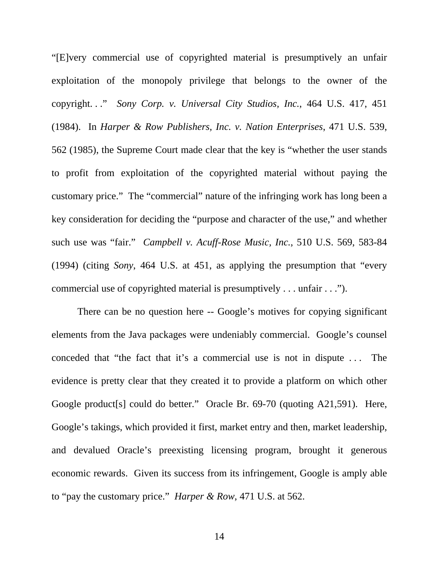"[E]very commercial use of copyrighted material is presumptively an unfair exploitation of the monopoly privilege that belongs to the owner of the copyright. . ." *Sony Corp. v. Universal City Studios, Inc.*, 464 U.S. 417, 451 (1984). In *Harper & Row Publishers, Inc. v. Nation Enterprises*, 471 U.S. 539, 562 (1985), the Supreme Court made clear that the key is "whether the user stands to profit from exploitation of the copyrighted material without paying the customary price." The "commercial" nature of the infringing work has long been a key consideration for deciding the "purpose and character of the use," and whether such use was "fair." *Campbell v. Acuff-Rose Music, Inc.*, 510 U.S. 569, 583-84 (1994) (citing *Sony*, 464 U.S. at 451, as applying the presumption that "every commercial use of copyrighted material is presumptively . . . unfair . . .").

There can be no question here -- Google's motives for copying significant elements from the Java packages were undeniably commercial. Google's counsel conceded that "the fact that it's a commercial use is not in dispute . . . The evidence is pretty clear that they created it to provide a platform on which other Google product<sup>[s]</sup> could do better." Oracle Br. 69-70 (quoting A21,591). Here, Google's takings, which provided it first, market entry and then, market leadership, and devalued Oracle's preexisting licensing program, brought it generous economic rewards. Given its success from its infringement, Google is amply able to "pay the customary price." *Harper & Row*, 471 U.S. at 562.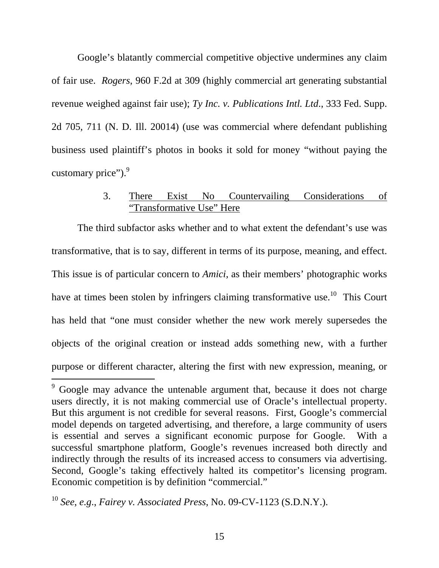Google's blatantly commercial competitive objective undermines any claim of fair use. *Rogers*, 960 F.2d at 309 (highly commercial art generating substantial revenue weighed against fair use); *Ty Inc. v. Publications Intl. Ltd*., 333 Fed. Supp. 2d 705, 711 (N. D. Ill. 20014) (use was commercial where defendant publishing business used plaintiff's photos in books it sold for money "without paying the customary price"). $9$ 

## 3. There Exist No Countervailing Considerations of "Transformative Use" Here

The third subfactor asks whether and to what extent the defendant's use was transformative, that is to say, different in terms of its purpose, meaning, and effect. This issue is of particular concern to *Amici*, as their members' photographic works have at times been stolen by infringers claiming transformative use.<sup>10</sup> This Court has held that "one must consider whether the new work merely supersedes the objects of the original creation or instead adds something new, with a further purpose or different character, altering the first with new expression, meaning, or

-

<sup>9</sup> Google may advance the untenable argument that, because it does not charge users directly, it is not making commercial use of Oracle's intellectual property. But this argument is not credible for several reasons. First, Google's commercial model depends on targeted advertising, and therefore, a large community of users is essential and serves a significant economic purpose for Google. With a successful smartphone platform, Google's revenues increased both directly and indirectly through the results of its increased access to consumers via advertising. Second, Google's taking effectively halted its competitor's licensing program. Economic competition is by definition "commercial."

<sup>10</sup> *See*, *e.g*., *Fairey v. Associated Press*, No. 09-CV-1123 (S.D.N.Y.).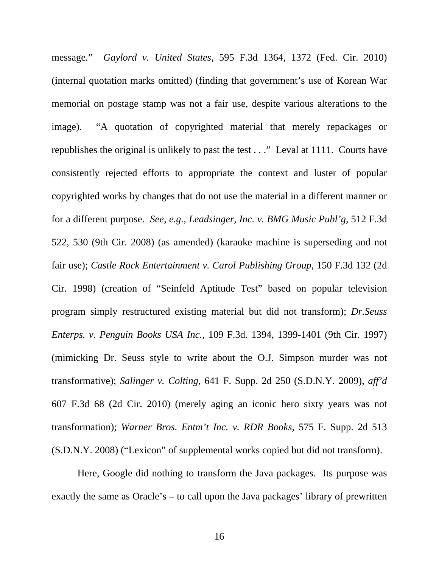message." *Gaylord v. United States*, 595 F.3d 1364, 1372 (Fed. Cir. 2010) (internal quotation marks omitted) (finding that government's use of Korean War memorial on postage stamp was not a fair use, despite various alterations to the image). "A quotation of copyrighted material that merely repackages or republishes the original is unlikely to past the test . . ." Leval at 1111. Courts have consistently rejected efforts to appropriate the context and luster of popular copyrighted works by changes that do not use the material in a different manner or for a different purpose. *See*, *e.g.*, *Leadsinger, Inc. v. BMG Music Publ'g*, 512 F.3d 522, 530 (9th Cir. 2008) (as amended) (karaoke machine is superseding and not fair use); *Castle Rock Entertainment v. Carol Publishing Group*, 150 F.3d 132 (2d Cir. 1998) (creation of "Seinfeld Aptitude Test" based on popular television program simply restructured existing material but did not transform); *Dr.Seuss Enterps. v. Penguin Books USA Inc.*, 109 F.3d. 1394, 1399-1401 (9th Cir. 1997) (mimicking Dr. Seuss style to write about the O.J. Simpson murder was not transformative); *Salinger v. Colting*, 641 F. Supp. 2d 250 (S.D.N.Y. 2009), *aff'd* 607 F.3d 68 (2d Cir. 2010) (merely aging an iconic hero sixty years was not transformation); *Warner Bros. Entm't Inc. v. RDR Books*, 575 F. Supp. 2d 513 (S.D.N.Y. 2008) ("Lexicon" of supplemental works copied but did not transform).

Here, Google did nothing to transform the Java packages. Its purpose was exactly the same as Oracle's – to call upon the Java packages' library of prewritten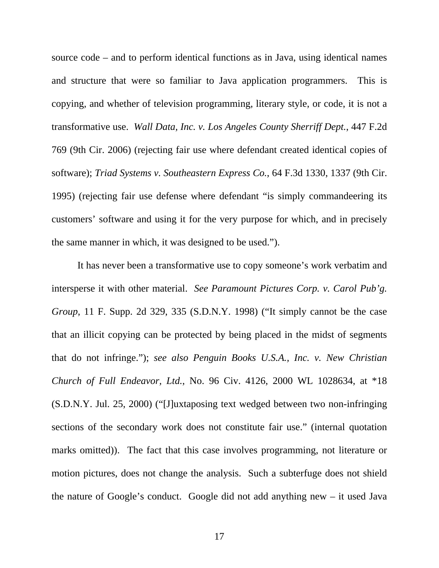source code – and to perform identical functions as in Java, using identical names and structure that were so familiar to Java application programmers. This is copying, and whether of television programming, literary style, or code, it is not a transformative use. *Wall Data, Inc. v. Los Angeles County Sherriff Dept.*, 447 F.2d 769 (9th Cir. 2006) (rejecting fair use where defendant created identical copies of software); *Triad Systems v. Southeastern Express Co.*, 64 F.3d 1330, 1337 (9th Cir. 1995) (rejecting fair use defense where defendant "is simply commandeering its customers' software and using it for the very purpose for which, and in precisely the same manner in which, it was designed to be used.").

It has never been a transformative use to copy someone's work verbatim and intersperse it with other material. *See Paramount Pictures Corp. v. Carol Pub'g. Group*, 11 F. Supp. 2d 329, 335 (S.D.N.Y. 1998) ("It simply cannot be the case that an illicit copying can be protected by being placed in the midst of segments that do not infringe."); *see also Penguin Books U.S.A., Inc. v. New Christian Church of Full Endeavor, Ltd.*, No. 96 Civ. 4126, 2000 WL 1028634, at \*18 (S.D.N.Y. Jul. 25, 2000) ("[J]uxtaposing text wedged between two non-infringing sections of the secondary work does not constitute fair use." (internal quotation marks omitted)). The fact that this case involves programming, not literature or motion pictures, does not change the analysis. Such a subterfuge does not shield the nature of Google's conduct. Google did not add anything new – it used Java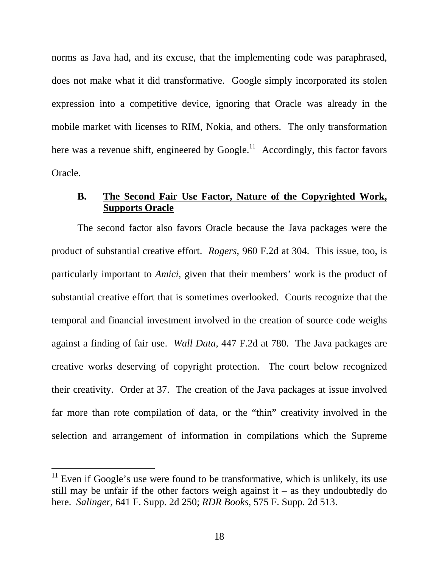norms as Java had, and its excuse, that the implementing code was paraphrased, does not make what it did transformative. Google simply incorporated its stolen expression into a competitive device, ignoring that Oracle was already in the mobile market with licenses to RIM, Nokia, and others. The only transformation here was a revenue shift, engineered by Google.<sup>11</sup> Accordingly, this factor favors Oracle.

## **B. The Second Fair Use Factor, Nature of the Copyrighted Work, Supports Oracle**

The second factor also favors Oracle because the Java packages were the product of substantial creative effort. *Rogers*, 960 F.2d at 304. This issue, too, is particularly important to *Amici*, given that their members' work is the product of substantial creative effort that is sometimes overlooked. Courts recognize that the temporal and financial investment involved in the creation of source code weighs against a finding of fair use. *Wall Data,* 447 F.2d at 780. The Java packages are creative works deserving of copyright protection. The court below recognized their creativity. Order at 37. The creation of the Java packages at issue involved far more than rote compilation of data, or the "thin" creativity involved in the selection and arrangement of information in compilations which the Supreme

 $\overline{a}$ 

 $11$  Even if Google's use were found to be transformative, which is unlikely, its use still may be unfair if the other factors weigh against it – as they undoubtedly do here. *Salinger*, 641 F. Supp. 2d 250; *RDR Books*, 575 F. Supp. 2d 513.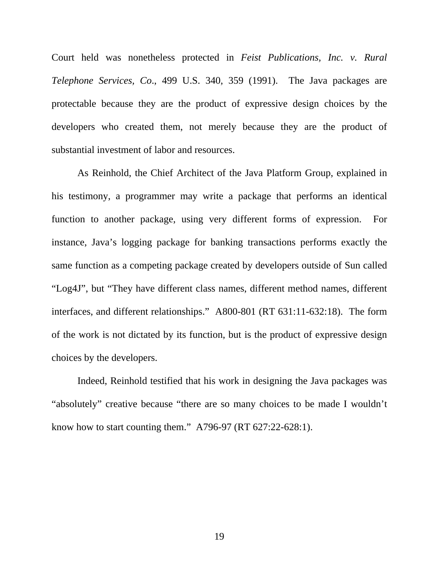Court held was nonetheless protected in *Feist Publications, Inc. v. Rural Telephone Services, Co*., 499 U.S. 340, 359 (1991). The Java packages are protectable because they are the product of expressive design choices by the developers who created them, not merely because they are the product of substantial investment of labor and resources.

As Reinhold, the Chief Architect of the Java Platform Group, explained in his testimony, a programmer may write a package that performs an identical function to another package, using very different forms of expression. For instance, Java's logging package for banking transactions performs exactly the same function as a competing package created by developers outside of Sun called "Log4J", but "They have different class names, different method names, different interfaces, and different relationships." A800-801 (RT 631:11-632:18). The form of the work is not dictated by its function, but is the product of expressive design choices by the developers.

Indeed, Reinhold testified that his work in designing the Java packages was "absolutely" creative because "there are so many choices to be made I wouldn't know how to start counting them." A796-97 (RT 627:22-628:1).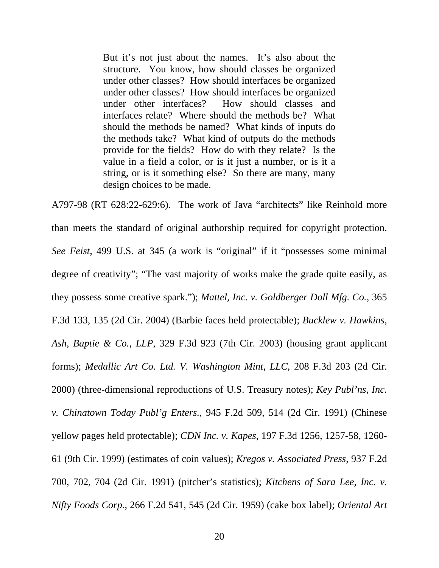But it's not just about the names. It's also about the structure. You know, how should classes be organized under other classes? How should interfaces be organized under other classes? How should interfaces be organized under other interfaces? How should classes and interfaces relate? Where should the methods be? What should the methods be named? What kinds of inputs do the methods take? What kind of outputs do the methods provide for the fields? How do with they relate? Is the value in a field a color, or is it just a number, or is it a string, or is it something else? So there are many, many design choices to be made.

A797-98 (RT 628:22-629:6). The work of Java "architects" like Reinhold more than meets the standard of original authorship required for copyright protection. *See Feist*, 499 U.S. at 345 (a work is "original" if it "possesses some minimal degree of creativity"; "The vast majority of works make the grade quite easily, as they possess some creative spark."); *Mattel, Inc. v. Goldberger Doll Mfg. Co.*, 365 F.3d 133, 135 (2d Cir. 2004) (Barbie faces held protectable); *Bucklew v. Hawkins, Ash, Baptie & Co.*, *LLP*, 329 F.3d 923 (7th Cir. 2003) (housing grant applicant forms); *Medallic Art Co. Ltd. V. Washington Mint, LLC*, 208 F.3d 203 (2d Cir. 2000) (three-dimensional reproductions of U.S. Treasury notes); *Key Publ'ns, Inc. v. Chinatown Today Publ'g Enters.*, 945 F.2d 509, 514 (2d Cir. 1991) (Chinese yellow pages held protectable); *CDN Inc. v. Kapes*, 197 F.3d 1256, 1257-58, 1260- 61 (9th Cir. 1999) (estimates of coin values); *Kregos v. Associated Press*, 937 F.2d 700, 702, 704 (2d Cir. 1991) (pitcher's statistics); *Kitchens of Sara Lee, Inc. v. Nifty Foods Corp.*, 266 F.2d 541, 545 (2d Cir. 1959) (cake box label); *Oriental Art*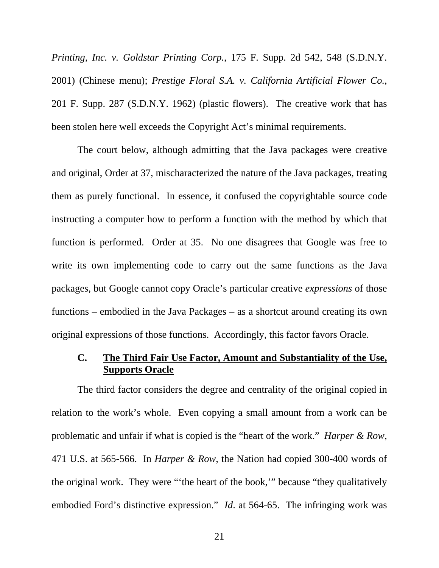*Printing, Inc. v. Goldstar Printing Corp.*, 175 F. Supp. 2d 542, 548 (S.D.N.Y. 2001) (Chinese menu); *Prestige Floral S.A. v. California Artificial Flower Co.*, 201 F. Supp. 287 (S.D.N.Y. 1962) (plastic flowers). The creative work that has been stolen here well exceeds the Copyright Act's minimal requirements.

The court below, although admitting that the Java packages were creative and original, Order at 37, mischaracterized the nature of the Java packages, treating them as purely functional. In essence, it confused the copyrightable source code instructing a computer how to perform a function with the method by which that function is performed. Order at 35. No one disagrees that Google was free to write its own implementing code to carry out the same functions as the Java packages, but Google cannot copy Oracle's particular creative *expressions* of those functions – embodied in the Java Packages – as a shortcut around creating its own original expressions of those functions. Accordingly, this factor favors Oracle.

#### **C. The Third Fair Use Factor, Amount and Substantiality of the Use, Supports Oracle**

The third factor considers the degree and centrality of the original copied in relation to the work's whole. Even copying a small amount from a work can be problematic and unfair if what is copied is the "heart of the work." *Harper & Row*, 471 U.S. at 565-566. In *Harper & Row*, the Nation had copied 300-400 words of the original work. They were "'the heart of the book,'" because "they qualitatively embodied Ford's distinctive expression." *Id*. at 564-65. The infringing work was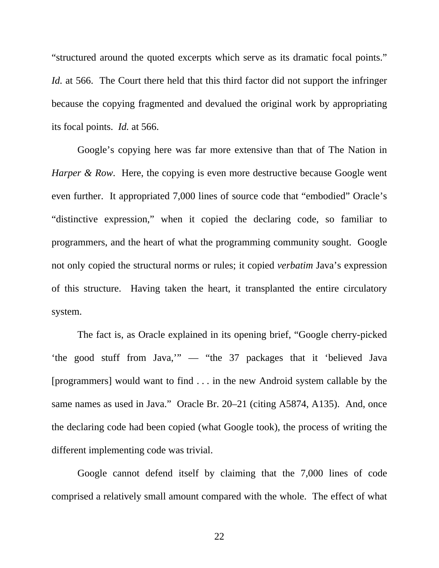"structured around the quoted excerpts which serve as its dramatic focal points." *Id.* at 566. The Court there held that this third factor did not support the infringer because the copying fragmented and devalued the original work by appropriating its focal points. *Id.* at 566.

Google's copying here was far more extensive than that of The Nation in *Harper & Row.* Here, the copying is even more destructive because Google went even further. It appropriated 7,000 lines of source code that "embodied" Oracle's "distinctive expression," when it copied the declaring code, so familiar to programmers, and the heart of what the programming community sought. Google not only copied the structural norms or rules; it copied *verbatim* Java's expression of this structure. Having taken the heart, it transplanted the entire circulatory system.

The fact is, as Oracle explained in its opening brief, "Google cherry-picked 'the good stuff from Java,'" — "the 37 packages that it 'believed Java [programmers] would want to find . . . in the new Android system callable by the same names as used in Java." Oracle Br. 20–21 (citing A5874, A135). And, once the declaring code had been copied (what Google took), the process of writing the different implementing code was trivial.

Google cannot defend itself by claiming that the 7,000 lines of code comprised a relatively small amount compared with the whole. The effect of what

22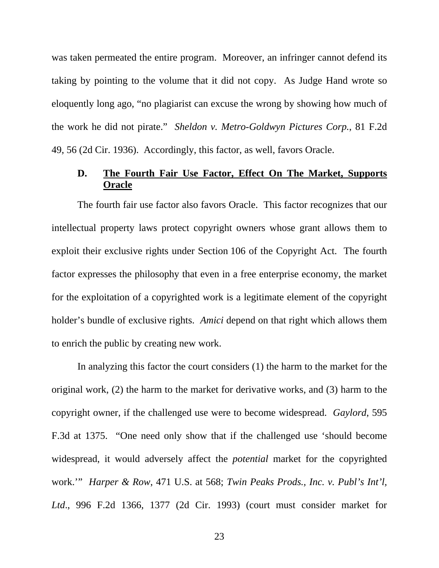was taken permeated the entire program. Moreover, an infringer cannot defend its taking by pointing to the volume that it did not copy. As Judge Hand wrote so eloquently long ago, "no plagiarist can excuse the wrong by showing how much of the work he did not pirate." *Sheldon v. Metro-Goldwyn Pictures Corp.*, 81 F.2d 49, 56 (2d Cir. 1936). Accordingly, this factor, as well, favors Oracle.

## **D. The Fourth Fair Use Factor, Effect On The Market, Supports Oracle**

The fourth fair use factor also favors Oracle. This factor recognizes that our intellectual property laws protect copyright owners whose grant allows them to exploit their exclusive rights under Section 106 of the Copyright Act. The fourth factor expresses the philosophy that even in a free enterprise economy, the market for the exploitation of a copyrighted work is a legitimate element of the copyright holder's bundle of exclusive rights. *Amici* depend on that right which allows them to enrich the public by creating new work.

In analyzing this factor the court considers (1) the harm to the market for the original work, (2) the harm to the market for derivative works, and (3) harm to the copyright owner, if the challenged use were to become widespread. *Gaylord*, 595 F.3d at 1375. "One need only show that if the challenged use 'should become widespread, it would adversely affect the *potential* market for the copyrighted work.'" *Harper & Row*, 471 U.S. at 568; *Twin Peaks Prods., Inc. v. Publ's Int'l, Ltd*., 996 F.2d 1366, 1377 (2d Cir. 1993) (court must consider market for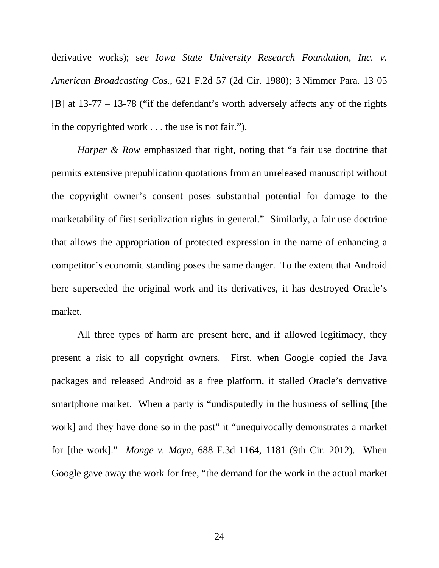derivative works); s*ee Iowa State University Research Foundation, Inc. v. American Broadcasting Cos.*, 621 F.2d 57 (2d Cir. 1980); 3 Nimmer Para. 13 05 [B] at 13-77 – 13-78 ("if the defendant's worth adversely affects any of the rights in the copyrighted work . . . the use is not fair.").

*Harper & Row* emphasized that right, noting that "a fair use doctrine that permits extensive prepublication quotations from an unreleased manuscript without the copyright owner's consent poses substantial potential for damage to the marketability of first serialization rights in general." Similarly, a fair use doctrine that allows the appropriation of protected expression in the name of enhancing a competitor's economic standing poses the same danger. To the extent that Android here superseded the original work and its derivatives, it has destroyed Oracle's market.

All three types of harm are present here, and if allowed legitimacy, they present a risk to all copyright owners. First, when Google copied the Java packages and released Android as a free platform, it stalled Oracle's derivative smartphone market. When a party is "undisputedly in the business of selling [the work] and they have done so in the past" it "unequivocally demonstrates a market for [the work]." *Monge v. Maya*, 688 F.3d 1164, 1181 (9th Cir. 2012). When Google gave away the work for free, "the demand for the work in the actual market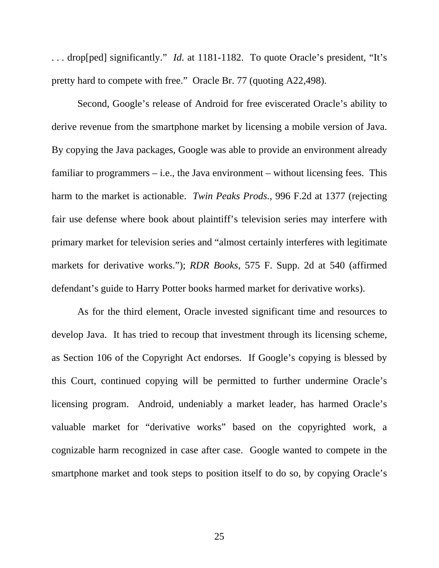. . . drop[ped] significantly." *Id*. at 1181-1182. To quote Oracle's president, "It's pretty hard to compete with free." Oracle Br. 77 (quoting A22,498).

Second, Google's release of Android for free eviscerated Oracle's ability to derive revenue from the smartphone market by licensing a mobile version of Java. By copying the Java packages, Google was able to provide an environment already familiar to programmers  $-$  i.e., the Java environment  $-$  without licensing fees. This harm to the market is actionable. *Twin Peaks Prods.*, 996 F.2d at 1377 (rejecting fair use defense where book about plaintiff's television series may interfere with primary market for television series and "almost certainly interferes with legitimate markets for derivative works."); *RDR Books*, 575 F. Supp. 2d at 540 (affirmed defendant's guide to Harry Potter books harmed market for derivative works).

As for the third element, Oracle invested significant time and resources to develop Java. It has tried to recoup that investment through its licensing scheme, as Section 106 of the Copyright Act endorses. If Google's copying is blessed by this Court, continued copying will be permitted to further undermine Oracle's licensing program. Android, undeniably a market leader, has harmed Oracle's valuable market for "derivative works" based on the copyrighted work, a cognizable harm recognized in case after case. Google wanted to compete in the smartphone market and took steps to position itself to do so, by copying Oracle's

25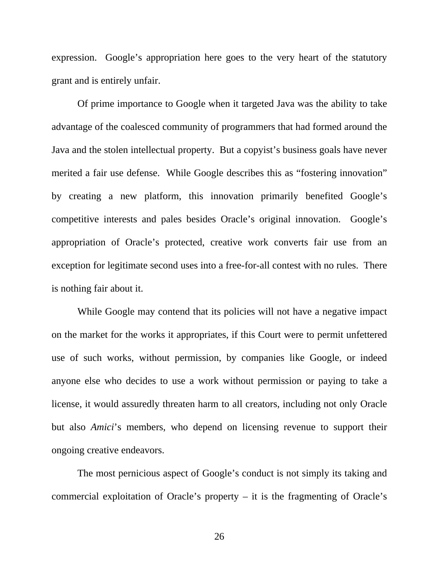expression. Google's appropriation here goes to the very heart of the statutory grant and is entirely unfair.

Of prime importance to Google when it targeted Java was the ability to take advantage of the coalesced community of programmers that had formed around the Java and the stolen intellectual property. But a copyist's business goals have never merited a fair use defense. While Google describes this as "fostering innovation" by creating a new platform, this innovation primarily benefited Google's competitive interests and pales besides Oracle's original innovation. Google's appropriation of Oracle's protected, creative work converts fair use from an exception for legitimate second uses into a free-for-all contest with no rules. There is nothing fair about it.

While Google may contend that its policies will not have a negative impact on the market for the works it appropriates, if this Court were to permit unfettered use of such works, without permission, by companies like Google, or indeed anyone else who decides to use a work without permission or paying to take a license, it would assuredly threaten harm to all creators, including not only Oracle but also *Amici*'s members, who depend on licensing revenue to support their ongoing creative endeavors.

The most pernicious aspect of Google's conduct is not simply its taking and commercial exploitation of Oracle's property – it is the fragmenting of Oracle's

26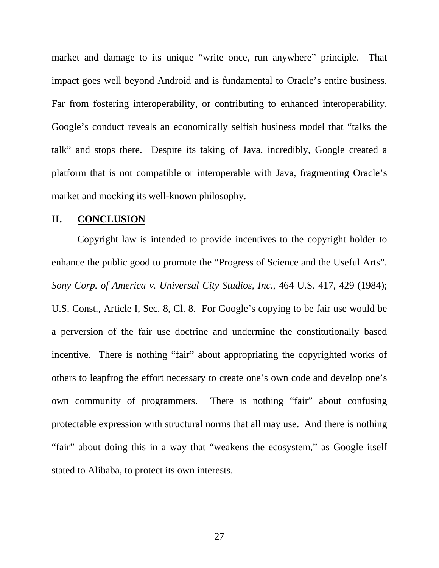market and damage to its unique "write once, run anywhere" principle. That impact goes well beyond Android and is fundamental to Oracle's entire business. Far from fostering interoperability, or contributing to enhanced interoperability, Google's conduct reveals an economically selfish business model that "talks the talk" and stops there. Despite its taking of Java, incredibly, Google created a platform that is not compatible or interoperable with Java, fragmenting Oracle's market and mocking its well-known philosophy.

#### **II. CONCLUSION**

Copyright law is intended to provide incentives to the copyright holder to enhance the public good to promote the "Progress of Science and the Useful Arts". *Sony Corp. of America v. Universal City Studios, Inc.*, 464 U.S. 417, 429 (1984); U.S. Const., Article I, Sec. 8, Cl. 8. For Google's copying to be fair use would be a perversion of the fair use doctrine and undermine the constitutionally based incentive. There is nothing "fair" about appropriating the copyrighted works of others to leapfrog the effort necessary to create one's own code and develop one's own community of programmers. There is nothing "fair" about confusing protectable expression with structural norms that all may use. And there is nothing "fair" about doing this in a way that "weakens the ecosystem," as Google itself stated to Alibaba, to protect its own interests.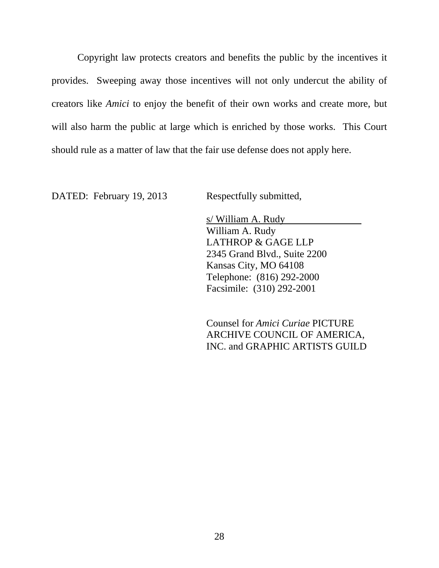Copyright law protects creators and benefits the public by the incentives it provides. Sweeping away those incentives will not only undercut the ability of creators like *Amici* to enjoy the benefit of their own works and create more, but will also harm the public at large which is enriched by those works. This Court should rule as a matter of law that the fair use defense does not apply here.

DATED: February 19, 2013 Respectfully submitted,

s/ William A. Rudy William A. Rudy LATHROP & GAGE LLP 2345 Grand Blvd., Suite 2200 Kansas City, MO 64108 Telephone: (816) 292-2000 Facsimile: (310) 292-2001

Counsel for *Amici Curiae* PICTURE ARCHIVE COUNCIL OF AMERICA, INC. and GRAPHIC ARTISTS GUILD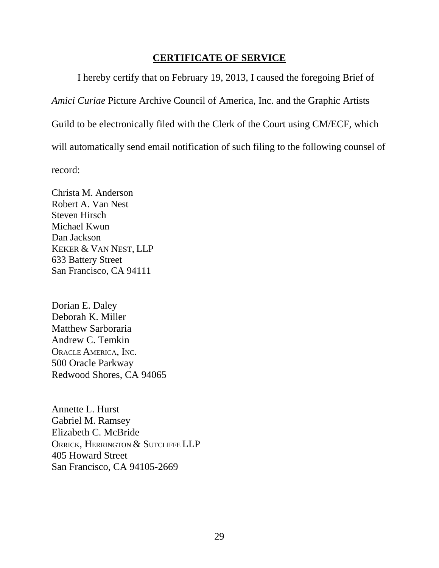### **CERTIFICATE OF SERVICE**

I hereby certify that on February 19, 2013, I caused the foregoing Brief of *Amici Curiae* Picture Archive Council of America, Inc. and the Graphic Artists Guild to be electronically filed with the Clerk of the Court using CM/ECF, which will automatically send email notification of such filing to the following counsel of record:

Christa M. Anderson Robert A. Van Nest Steven Hirsch Michael Kwun Dan Jackson KEKER & VAN NEST, LLP 633 Battery Street San Francisco, CA 94111

Dorian E. Daley Deborah K. Miller Matthew Sarboraria Andrew C. Temkin ORACLE AMERICA, INC. 500 Oracle Parkway Redwood Shores, CA 94065

Annette L. Hurst Gabriel M. Ramsey Elizabeth C. McBride ORRICK, HERRINGTON & SUTCLIFFE LLP 405 Howard Street San Francisco, CA 94105-2669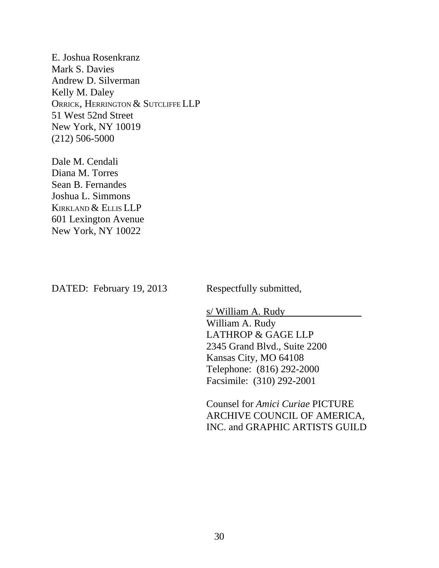E. Joshua Rosenkranz Mark S. Davies Andrew D. Silverman Kelly M. Daley ORRICK, HERRINGTON & SUTCLIFFE LLP 51 West 52nd Street New York, NY 10019 (212) 506-5000

Dale M. Cendali Diana M. Torres Sean B. Fernandes Joshua L. Simmons KIRKLAND & ELLIS LLP 601 Lexington Avenue New York, NY 10022

DATED: February 19, 2013 Respectfully submitted,

s/ William A. Rudy William A. Rudy LATHROP & GAGE LLP 2345 Grand Blvd., Suite 2200 Kansas City, MO 64108 Telephone: (816) 292-2000 Facsimile: (310) 292-2001

Counsel for *Amici Curiae* PICTURE ARCHIVE COUNCIL OF AMERICA, INC. and GRAPHIC ARTISTS GUILD